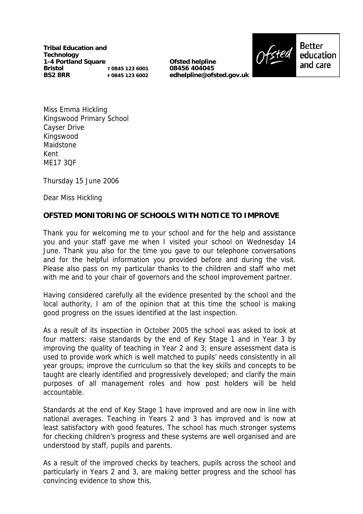**Tribal Education and Technology 1-4 Portland Square Bristol BS2 8RR T 0845 123 6001 F 0845 123 6002**

**Ofsted helpline 08456 404045 edhelpline@ofsted.gov.uk**



Miss Emma Hickling Kingswood Primary School Cayser Drive Kingswood Maidstone Kent ME17 3QF

Thursday 15 June 2006

Dear Miss Hickling

## **OFSTED MONITORING OF SCHOOLS WITH NOTICE TO IMPROVE**

Thank you for welcoming me to your school and for the help and assistance you and your staff gave me when I visited your school on Wednesday 14 June. Thank you also for the time you gave to our telephone conversations and for the helpful information you provided before and during the visit. Please also pass on my particular thanks to the children and staff who met with me and to your chair of governors and the school improvement partner.

Having considered carefully all the evidence presented by the school and the local authority, I am of the opinion that at this time the school is making good progress on the issues identified at the last inspection.

As a result of its inspection in October 2005 the school was asked to look at four matters: raise standards by the end of Key Stage 1 and in Year 3 by improving the quality of teaching in Year 2 and 3; ensure assessment data is used to provide work which is well matched to pupils' needs consistently in all year groups; improve the curriculum so that the key skills and concepts to be taught are clearly identified and progressively developed; and clarify the main purposes of all management roles and how post holders will be held accountable.

Standards at the end of Key Stage 1 have improved and are now in line with national averages. Teaching in Years 2 and 3 has improved and is now at least satisfactory with good features. The school has much stronger systems for checking children's progress and these systems are well organised and are understood by staff, pupils and parents.

As a result of the improved checks by teachers, pupils across the school and particularly in Years 2 and 3, are making better progress and the school has convincing evidence to show this.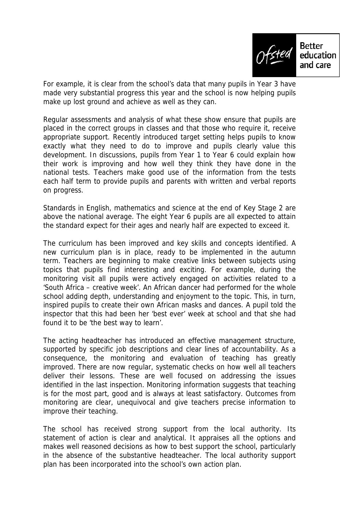

For example, it is clear from the school's data that many pupils in Year 3 have made very substantial progress this year and the school is now helping pupils make up lost ground and achieve as well as they can.

Regular assessments and analysis of what these show ensure that pupils are placed in the correct groups in classes and that those who require it, receive appropriate support. Recently introduced target setting helps pupils to know exactly what they need to do to improve and pupils clearly value this development. In discussions, pupils from Year 1 to Year 6 could explain how their work is improving and how well they think they have done in the national tests. Teachers make good use of the information from the tests each half term to provide pupils and parents with written and verbal reports on progress.

Standards in English, mathematics and science at the end of Key Stage 2 are above the national average. The eight Year 6 pupils are all expected to attain the standard expect for their ages and nearly half are expected to exceed it.

The curriculum has been improved and key skills and concepts identified. A new curriculum plan is in place, ready to be implemented in the autumn term. Teachers are beginning to make creative links between subjects using topics that pupils find interesting and exciting. For example, during the monitoring visit all pupils were actively engaged on activities related to a 'South Africa – creative week'. An African dancer had performed for the whole school adding depth, understanding and enjoyment to the topic. This, in turn, inspired pupils to create their own African masks and dances. A pupil told the inspector that this had been her 'best ever' week at school and that she had found it to be 'the best way to learn'.

The acting headteacher has introduced an effective management structure, supported by specific job descriptions and clear lines of accountability. As a consequence, the monitoring and evaluation of teaching has greatly improved. There are now regular, systematic checks on how well all teachers deliver their lessons. These are well focused on addressing the issues identified in the last inspection. Monitoring information suggests that teaching is for the most part, good and is always at least satisfactory. Outcomes from monitoring are clear, unequivocal and give teachers precise information to improve their teaching.

The school has received strong support from the local authority. Its statement of action is clear and analytical. It appraises all the options and makes well reasoned decisions as how to best support the school, particularly in the absence of the substantive headteacher. The local authority support plan has been incorporated into the school's own action plan.